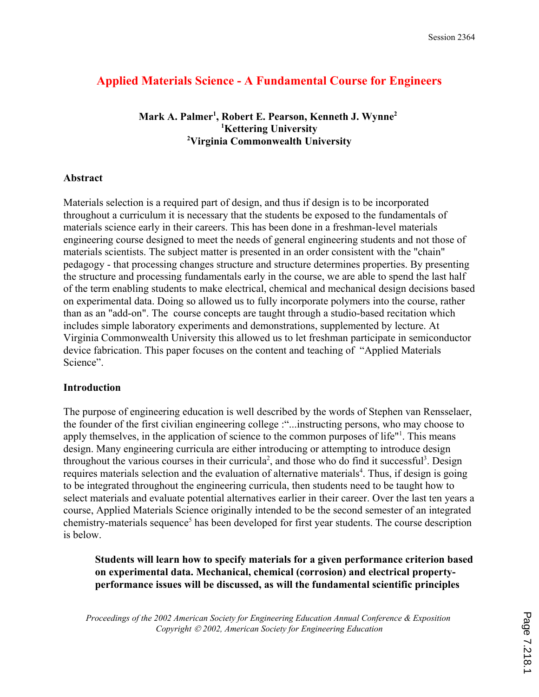# **Applied Materials Science - A Fundamental Course for Engineers**

**Mark A. Palmer1 , Robert E. Pearson, Kenneth J. Wynne2 1 Kettering University 2 Virginia Commonwealth University**

### **Abstract**

Materials selection is a required part of design, and thus if design is to be incorporated throughout a curriculum it is necessary that the students be exposed to the fundamentals of materials science early in their careers. This has been done in a freshman-level materials engineering course designed to meet the needs of general engineering students and not those of materials scientists. The subject matter is presented in an order consistent with the "chain" pedagogy - that processing changes structure and structure determines properties. By presenting the structure and processing fundamentals early in the course, we are able to spend the last half of the term enabling students to make electrical, chemical and mechanical design decisions based on experimental data. Doing so allowed us to fully incorporate polymers into the course, rather than as an "add-on". The course concepts are taught through a studio-based recitation which includes simple laboratory experiments and demonstrations, supplemented by lecture. At Virginia Commonwealth University this allowed us to let freshman participate in semiconductor device fabrication. This paper focuses on the content and teaching of "Applied Materials Science".

### **Introduction**

The purpose of engineering education is well described by the words of Stephen van Rensselaer, the founder of the first civilian engineering college :"...instructing persons, who may choose to apply themselves, in the application of science to the common purposes of life"<sup>1</sup>. This means design. Many engineering curricula are either introducing or attempting to introduce design throughout the various courses in their curricula<sup>2</sup>, and those who do find it successful<sup>3</sup>. Design requires materials selection and the evaluation of alternative materials<sup>4</sup>. Thus, if design is going to be integrated throughout the engineering curricula, then students need to be taught how to select materials and evaluate potential alternatives earlier in their career. Over the last ten years a course, Applied Materials Science originally intended to be the second semester of an integrated chemistry-materials sequence<sup>5</sup> has been developed for first year students. The course description is below.

**Students will learn how to specify materials for a given performance criterion based on experimental data. Mechanical, chemical (corrosion) and electrical propertyperformance issues will be discussed, as will the fundamental scientific principles**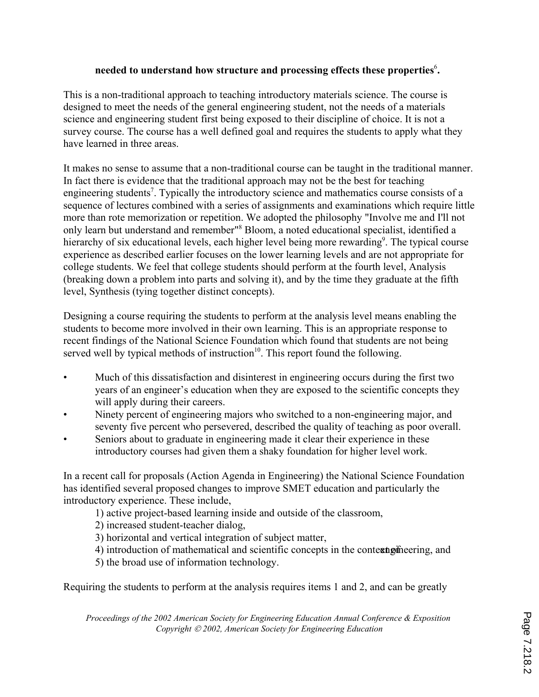### needed to understand how structure and processing effects these properties<sup>6</sup>.

This is a non-traditional approach to teaching introductory materials science. The course is designed to meet the needs of the general engineering student, not the needs of a materials science and engineering student first being exposed to their discipline of choice. It is not a survey course. The course has a well defined goal and requires the students to apply what they have learned in three areas.

It makes no sense to assume that a non-traditional course can be taught in the traditional manner. In fact there is evidence that the traditional approach may not be the best for teaching engineering students<sup>7</sup>. Typically the introductory science and mathematics course consists of a sequence of lectures combined with a series of assignments and examinations which require little more than rote memorization or repetition. We adopted the philosophy "Involve me and I'll not only learn but understand and remember<sup>18</sup> Bloom, a noted educational specialist, identified a hierarchy of six educational levels, each higher level being more rewarding<sup>9</sup>. The typical course experience as described earlier focuses on the lower learning levels and are not appropriate for college students. We feel that college students should perform at the fourth level, Analysis (breaking down a problem into parts and solving it), and by the time they graduate at the fifth level, Synthesis (tying together distinct concepts).

Designing a course requiring the students to perform at the analysis level means enabling the students to become more involved in their own learning. This is an appropriate response to recent findings of the National Science Foundation which found that students are not being served well by typical methods of instruction $10$ . This report found the following.

- Much of this dissatisfaction and disinterest in engineering occurs during the first two years of an engineer's education when they are exposed to the scientific concepts they will apply during their careers.
- Ninety percent of engineering majors who switched to a non-engineering major, and seventy five percent who persevered, described the quality of teaching as poor overall.
- Seniors about to graduate in engineering made it clear their experience in these introductory courses had given them a shaky foundation for higher level work.

In a recent call for proposals (Action Agenda in Engineering) the National Science Foundation has identified several proposed changes to improve SMET education and particularly the introductory experience. These include,

1) active project-based learning inside and outside of the classroom,

2) increased student-teacher dialog,

- 3) horizontal and vertical integration of subject matter,
- 4) introduction of mathematical and scientific concepts in the context of engineering, and

5) the broad use of information technology.

Requiring the students to perform at the analysis requires items 1 and 2, and can be greatly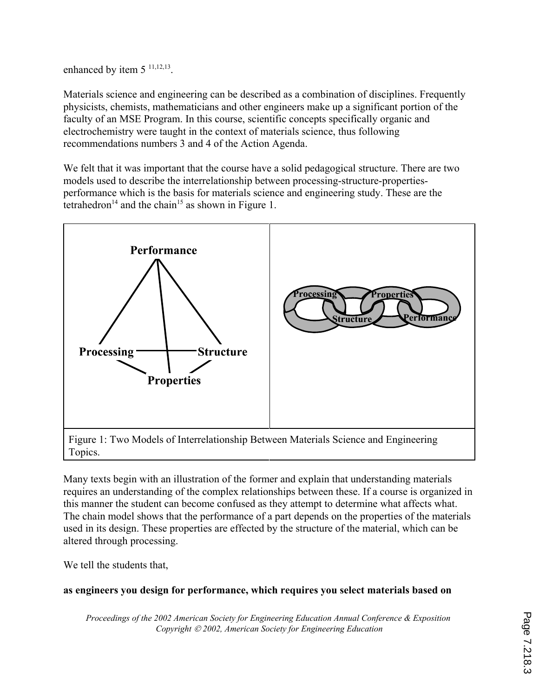enhanced by item  $5^{11,12,13}$ .

Materials science and engineering can be described as a combination of disciplines. Frequently physicists, chemists, mathematicians and other engineers make up a significant portion of the faculty of an MSE Program. In this course, scientific concepts specifically organic and electrochemistry were taught in the context of materials science, thus following recommendations numbers 3 and 4 of the Action Agenda.

We felt that it was important that the course have a solid pedagogical structure. There are two models used to describe the interrelationship between processing-structure-propertiesperformance which is the basis for materials science and engineering study. These are the tetrahedron<sup>14</sup> and the chain<sup>15</sup> as shown in Figure 1.



Topics.

Many texts begin with an illustration of the former and explain that understanding materials requires an understanding of the complex relationships between these. If a course is organized in this manner the student can become confused as they attempt to determine what affects what. The chain model shows that the performance of a part depends on the properties of the materials used in its design. These properties are effected by the structure of the material, which can be altered through processing.

We tell the students that,

# **as engineers you design for performance, which requires you select materials based on**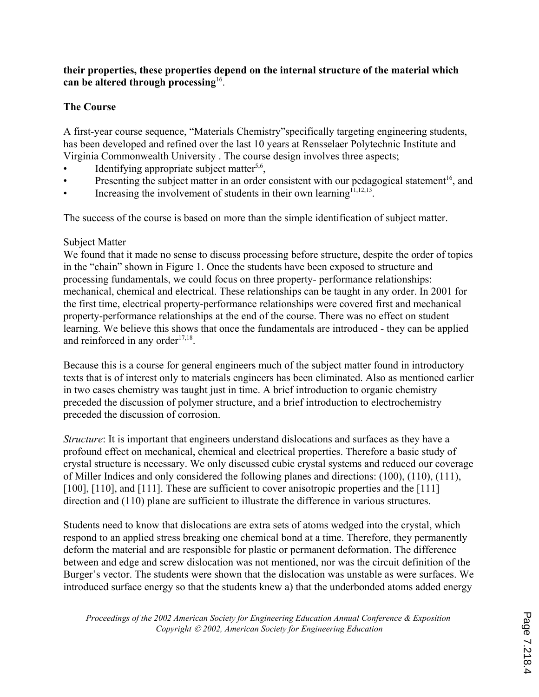### **their properties, these properties depend on the internal structure of the material which can be altered through processing**16.

### **The Course**

A first-year course sequence, "Materials Chemistry"specifically targeting engineering students, has been developed and refined over the last 10 years at Rensselaer Polytechnic Institute and Virginia Commonwealth University . The course design involves three aspects;

- Identifying appropriate subject matter<sup>5,6</sup>,
- Presenting the subject matter in an order consistent with our pedagogical statement<sup>16</sup>, and
- Increasing the involvement of students in their own learning<sup> $11,12,13$ </sup>.

The success of the course is based on more than the simple identification of subject matter.

### Subject Matter

We found that it made no sense to discuss processing before structure, despite the order of topics in the "chain" shown in Figure 1. Once the students have been exposed to structure and processing fundamentals, we could focus on three property- performance relationships: mechanical, chemical and electrical. These relationships can be taught in any order. In 2001 for the first time, electrical property-performance relationships were covered first and mechanical property-performance relationships at the end of the course. There was no effect on student learning. We believe this shows that once the fundamentals are introduced - they can be applied and reinforced in any order $17,18$ .

Because this is a course for general engineers much of the subject matter found in introductory texts that is of interest only to materials engineers has been eliminated. Also as mentioned earlier in two cases chemistry was taught just in time. A brief introduction to organic chemistry preceded the discussion of polymer structure, and a brief introduction to electrochemistry preceded the discussion of corrosion.

*Structure*: It is important that engineers understand dislocations and surfaces as they have a profound effect on mechanical, chemical and electrical properties. Therefore a basic study of crystal structure is necessary. We only discussed cubic crystal systems and reduced our coverage of Miller Indices and only considered the following planes and directions: (100), (110), (111), [100], [110], and [111]. These are sufficient to cover anisotropic properties and the [111] direction and (110) plane are sufficient to illustrate the difference in various structures.

Students need to know that dislocations are extra sets of atoms wedged into the crystal, which respond to an applied stress breaking one chemical bond at a time. Therefore, they permanently deform the material and are responsible for plastic or permanent deformation. The difference between and edge and screw dislocation was not mentioned, nor was the circuit definition of the Burger's vector. The students were shown that the dislocation was unstable as were surfaces. We introduced surface energy so that the students knew a) that the underbonded atoms added energy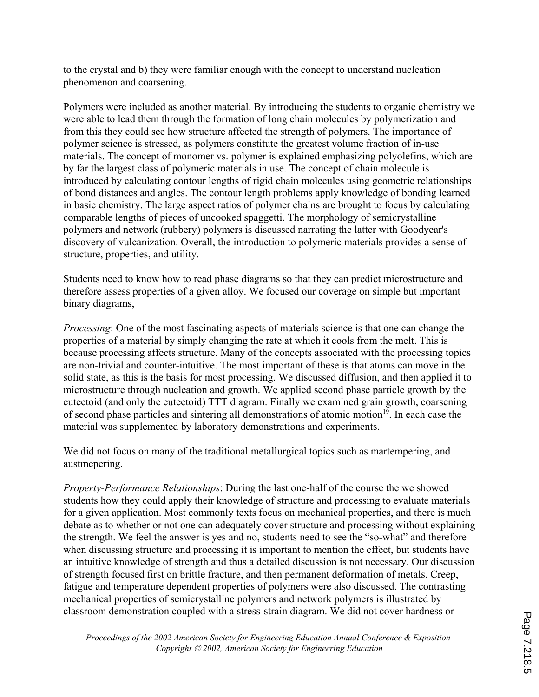to the crystal and b) they were familiar enough with the concept to understand nucleation phenomenon and coarsening.

Polymers were included as another material. By introducing the students to organic chemistry we were able to lead them through the formation of long chain molecules by polymerization and from this they could see how structure affected the strength of polymers. The importance of polymer science is stressed, as polymers constitute the greatest volume fraction of in-use materials. The concept of monomer vs. polymer is explained emphasizing polyolefins, which are by far the largest class of polymeric materials in use. The concept of chain molecule is introduced by calculating contour lengths of rigid chain molecules using geometric relationships of bond distances and angles. The contour length problems apply knowledge of bonding learned in basic chemistry. The large aspect ratios of polymer chains are brought to focus by calculating comparable lengths of pieces of uncooked spaggetti. The morphology of semicrystalline polymers and network (rubbery) polymers is discussed narrating the latter with Goodyear's discovery of vulcanization. Overall, the introduction to polymeric materials provides a sense of structure, properties, and utility.

Students need to know how to read phase diagrams so that they can predict microstructure and therefore assess properties of a given alloy. We focused our coverage on simple but important binary diagrams,

*Processing*: One of the most fascinating aspects of materials science is that one can change the properties of a material by simply changing the rate at which it cools from the melt. This is because processing affects structure. Many of the concepts associated with the processing topics are non-trivial and counter-intuitive. The most important of these is that atoms can move in the solid state, as this is the basis for most processing. We discussed diffusion, and then applied it to microstructure through nucleation and growth. We applied second phase particle growth by the eutectoid (and only the eutectoid) TTT diagram. Finally we examined grain growth, coarsening of second phase particles and sintering all demonstrations of atomic motion<sup>19</sup>. In each case the material was supplemented by laboratory demonstrations and experiments.

We did not focus on many of the traditional metallurgical topics such as martempering, and austmepering.

*Property-Performance Relationships*: During the last one-half of the course the we showed students how they could apply their knowledge of structure and processing to evaluate materials for a given application. Most commonly texts focus on mechanical properties, and there is much debate as to whether or not one can adequately cover structure and processing without explaining the strength. We feel the answer is yes and no, students need to see the "so-what" and therefore when discussing structure and processing it is important to mention the effect, but students have an intuitive knowledge of strength and thus a detailed discussion is not necessary. Our discussion of strength focused first on brittle fracture, and then permanent deformation of metals. Creep, fatigue and temperature dependent properties of polymers were also discussed. The contrasting mechanical properties of semicrystalline polymers and network polymers is illustrated by classroom demonstration coupled with a stress-strain diagram. We did not cover hardness or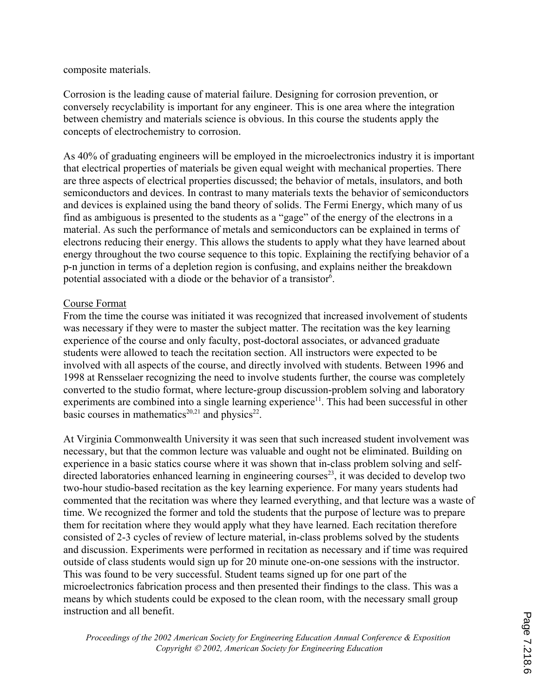#### composite materials.

Corrosion is the leading cause of material failure. Designing for corrosion prevention, or conversely recyclability is important for any engineer. This is one area where the integration between chemistry and materials science is obvious. In this course the students apply the concepts of electrochemistry to corrosion.

As 40% of graduating engineers will be employed in the microelectronics industry it is important that electrical properties of materials be given equal weight with mechanical properties. There are three aspects of electrical properties discussed; the behavior of metals, insulators, and both semiconductors and devices. In contrast to many materials texts the behavior of semiconductors and devices is explained using the band theory of solids. The Fermi Energy, which many of us find as ambiguous is presented to the students as a "gage" of the energy of the electrons in a material. As such the performance of metals and semiconductors can be explained in terms of electrons reducing their energy. This allows the students to apply what they have learned about energy throughout the two course sequence to this topic. Explaining the rectifying behavior of a p-n junction in terms of a depletion region is confusing, and explains neither the breakdown potential associated with a diode or the behavior of a transistor<sup>6</sup>.

### Course Format

From the time the course was initiated it was recognized that increased involvement of students was necessary if they were to master the subject matter. The recitation was the key learning experience of the course and only faculty, post-doctoral associates, or advanced graduate students were allowed to teach the recitation section. All instructors were expected to be involved with all aspects of the course, and directly involved with students. Between 1996 and 1998 at Rensselaer recognizing the need to involve students further, the course was completely converted to the studio format, where lecture-group discussion-problem solving and laboratory experiments are combined into a single learning experience<sup>11</sup>. This had been successful in other basic courses in mathematics<sup>20,21</sup> and physics<sup>22</sup>.

At Virginia Commonwealth University it was seen that such increased student involvement was necessary, but that the common lecture was valuable and ought not be eliminated. Building on experience in a basic statics course where it was shown that in-class problem solving and selfdirected laboratories enhanced learning in engineering courses<sup>23</sup>, it was decided to develop two two-hour studio-based recitation as the key learning experience. For many years students had commented that the recitation was where they learned everything, and that lecture was a waste of time. We recognized the former and told the students that the purpose of lecture was to prepare them for recitation where they would apply what they have learned. Each recitation therefore consisted of 2-3 cycles of review of lecture material, in-class problems solved by the students and discussion. Experiments were performed in recitation as necessary and if time was required outside of class students would sign up for 20 minute one-on-one sessions with the instructor. This was found to be very successful. Student teams signed up for one part of the microelectronics fabrication process and then presented their findings to the class. This was a means by which students could be exposed to the clean room, with the necessary small group instruction and all benefit.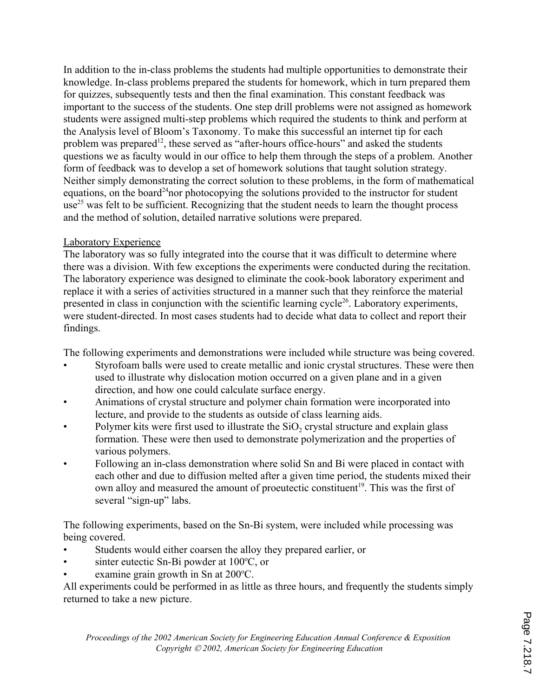In addition to the in-class problems the students had multiple opportunities to demonstrate their knowledge. In-class problems prepared the students for homework, which in turn prepared them for quizzes, subsequently tests and then the final examination. This constant feedback was important to the success of the students. One step drill problems were not assigned as homework students were assigned multi-step problems which required the students to think and perform at the Analysis level of Bloom's Taxonomy. To make this successful an internet tip for each problem was prepared<sup>12</sup>, these served as "after-hours office-hours" and asked the students questions we as faculty would in our office to help them through the steps of a problem. Another form of feedback was to develop a set of homework solutions that taught solution strategy. Neither simply demonstrating the correct solution to these problems, in the form of mathematical equations, on the board<sup>24</sup>nor photocopying the solutions provided to the instructor for student  $use^{25}$  was felt to be sufficient. Recognizing that the student needs to learn the thought process and the method of solution, detailed narrative solutions were prepared.

# Laboratory Experience

The laboratory was so fully integrated into the course that it was difficult to determine where there was a division. With few exceptions the experiments were conducted during the recitation. The laboratory experience was designed to eliminate the cook-book laboratory experiment and replace it with a series of activities structured in a manner such that they reinforce the material presented in class in conjunction with the scientific learning cycle<sup>26</sup>. Laboratory experiments, were student-directed. In most cases students had to decide what data to collect and report their findings.

The following experiments and demonstrations were included while structure was being covered.

- Styrofoam balls were used to create metallic and ionic crystal structures. These were then used to illustrate why dislocation motion occurred on a given plane and in a given direction, and how one could calculate surface energy.
- Animations of crystal structure and polymer chain formation were incorporated into lecture, and provide to the students as outside of class learning aids.
- Polymer kits were first used to illustrate the SiO<sub>2</sub> crystal structure and explain glass formation. These were then used to demonstrate polymerization and the properties of various polymers.
- Following an in-class demonstration where solid Sn and Bi were placed in contact with each other and due to diffusion melted after a given time period, the students mixed their own alloy and measured the amount of proeutectic constituent<sup>19</sup>. This was the first of several "sign-up" labs.

The following experiments, based on the Sn-Bi system, were included while processing was being covered.

- Students would either coarsen the alloy they prepared earlier, or
- $\bullet$  sinter eutectic Sn-Bi powder at 100 $\degree$ C, or
- examine grain growth in Sn at 200 °C.

All experiments could be performed in as little as three hours, and frequently the students simply returned to take a new picture.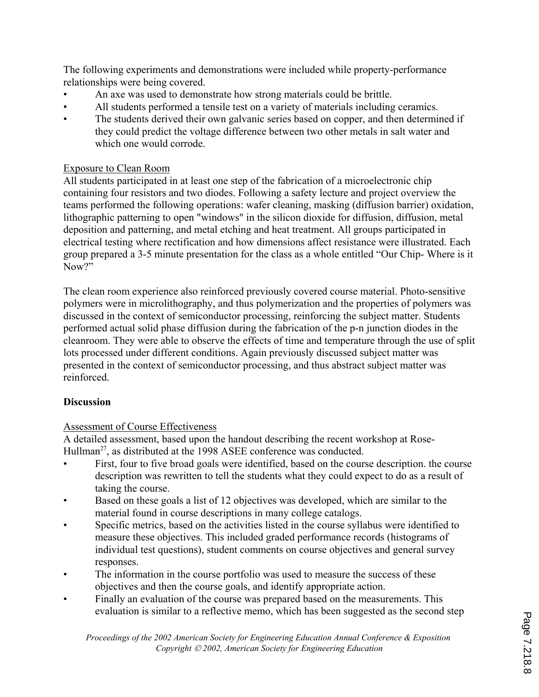The following experiments and demonstrations were included while property-performance relationships were being covered.

- An axe was used to demonstrate how strong materials could be brittle.
- All students performed a tensile test on a variety of materials including ceramics.
- The students derived their own galvanic series based on copper, and then determined if they could predict the voltage difference between two other metals in salt water and which one would corrode.

# Exposure to Clean Room

All students participated in at least one step of the fabrication of a microelectronic chip containing four resistors and two diodes. Following a safety lecture and project overview the teams performed the following operations: wafer cleaning, masking (diffusion barrier) oxidation, lithographic patterning to open "windows" in the silicon dioxide for diffusion, diffusion, metal deposition and patterning, and metal etching and heat treatment. All groups participated in electrical testing where rectification and how dimensions affect resistance were illustrated. Each group prepared a 3-5 minute presentation for the class as a whole entitled "Our Chip- Where is it Now?"

The clean room experience also reinforced previously covered course material. Photo-sensitive polymers were in microlithography, and thus polymerization and the properties of polymers was discussed in the context of semiconductor processing, reinforcing the subject matter. Students performed actual solid phase diffusion during the fabrication of the p-n junction diodes in the cleanroom. They were able to observe the effects of time and temperature through the use of split lots processed under different conditions. Again previously discussed subject matter was presented in the context of semiconductor processing, and thus abstract subject matter was reinforced.

# **Discussion**

# Assessment of Course Effectiveness

A detailed assessment, based upon the handout describing the recent workshop at Rose-Hullman<sup>27</sup>, as distributed at the 1998 ASEE conference was conducted.

- First, four to five broad goals were identified, based on the course description, the course description was rewritten to tell the students what they could expect to do as a result of taking the course.
- Based on these goals a list of 12 objectives was developed, which are similar to the material found in course descriptions in many college catalogs.
- Specific metrics, based on the activities listed in the course syllabus were identified to measure these objectives. This included graded performance records (histograms of individual test questions), student comments on course objectives and general survey responses.
- The information in the course portfolio was used to measure the success of these objectives and then the course goals, and identify appropriate action.
- Finally an evaluation of the course was prepared based on the measurements. This evaluation is similar to a reflective memo, which has been suggested as the second step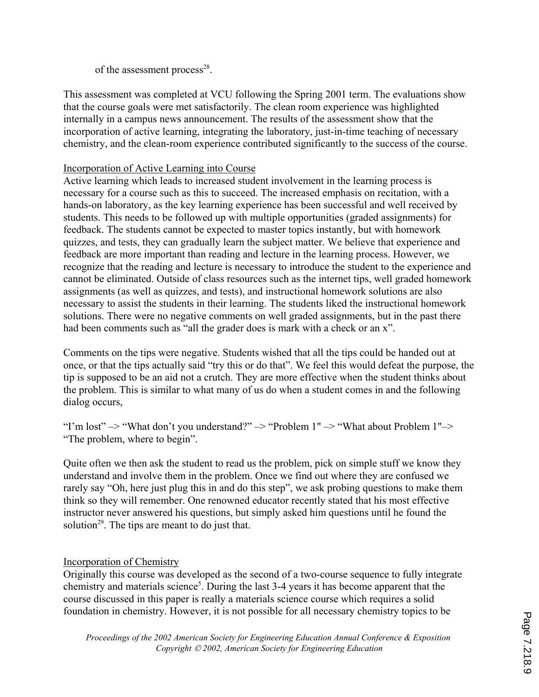of the assessment process $^{28}$ .

This assessment was completed at VCU following the Spring 2001 term. The evaluations show that the course goals were met satisfactorily. The clean room experience was highlighted internally in a campus news announcement. The results of the assessment show that the incorporation of active learning, integrating the laboratory, just-in-time teaching of necessary chemistry, and the clean-room experience contributed significantly to the success of the course.

# Incorporation of Active Learning into Course

Active learning which leads to increased student involvement in the learning process is necessary for a course such as this to succeed. The increased emphasis on recitation, with a hands-on laboratory, as the key learning experience has been successful and well received by students. This needs to be followed up with multiple opportunities (graded assignments) for feedback. The students cannot be expected to master topics instantly, but with homework quizzes, and tests, they can gradually learn the subject matter. We believe that experience and feedback are more important than reading and lecture in the learning process. However, we recognize that the reading and lecture is necessary to introduce the student to the experience and cannot be eliminated. Outside of class resources such as the internet tips, well graded homework assignments (as well as quizzes, and tests), and instructional homework solutions are also necessary to assist the students in their learning. The students liked the instructional homework solutions. There were no negative comments on well graded assignments, but in the past there had been comments such as "all the grader does is mark with a check or an x".

Comments on the tips were negative. Students wished that all the tips could be handed out at once, or that the tips actually said "try this or do that". We feel this would defeat the purpose, the tip is supposed to be an aid not a crutch. They are more effective when the student thinks about the problem. This is similar to what many of us do when a student comes in and the following dialog occurs,

"I'm lost" –> "What don't you understand?" –> "Problem 1" –> "What about Problem 1"–> "The problem, where to begin".

Quite often we then ask the student to read us the problem, pick on simple stuff we know they understand and involve them in the problem. Once we find out where they are confused we rarely say "Oh, here just plug this in and do this step", we ask probing questions to make them think so they will remember. One renowned educator recently stated that his most effective instructor never answered his questions, but simply asked him questions until he found the solution<sup>29</sup>. The tips are meant to do just that.

### Incorporation of Chemistry

Originally this course was developed as the second of a two-course sequence to fully integrate chemistry and materials science<sup>5</sup>. During the last 3-4 years it has become apparent that the course discussed in this paper is really a materials science course which requires a solid foundation in chemistry. However, it is not possible for all necessary chemistry topics to be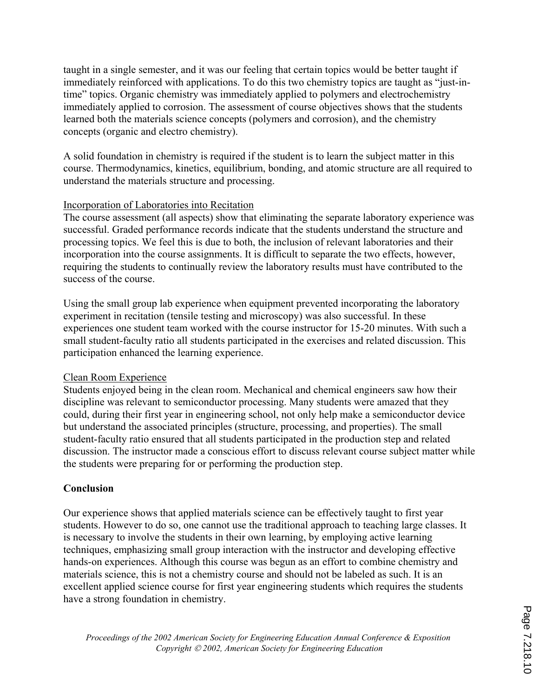taught in a single semester, and it was our feeling that certain topics would be better taught if immediately reinforced with applications. To do this two chemistry topics are taught as "just-intime" topics. Organic chemistry was immediately applied to polymers and electrochemistry immediately applied to corrosion. The assessment of course objectives shows that the students learned both the materials science concepts (polymers and corrosion), and the chemistry concepts (organic and electro chemistry).

A solid foundation in chemistry is required if the student is to learn the subject matter in this course. Thermodynamics, kinetics, equilibrium, bonding, and atomic structure are all required to understand the materials structure and processing.

#### Incorporation of Laboratories into Recitation

The course assessment (all aspects) show that eliminating the separate laboratory experience was successful. Graded performance records indicate that the students understand the structure and processing topics. We feel this is due to both, the inclusion of relevant laboratories and their incorporation into the course assignments. It is difficult to separate the two effects, however, requiring the students to continually review the laboratory results must have contributed to the success of the course.

Using the small group lab experience when equipment prevented incorporating the laboratory experiment in recitation (tensile testing and microscopy) was also successful. In these experiences one student team worked with the course instructor for 15-20 minutes. With such a small student-faculty ratio all students participated in the exercises and related discussion. This participation enhanced the learning experience.

#### Clean Room Experience

Students enjoyed being in the clean room. Mechanical and chemical engineers saw how their discipline was relevant to semiconductor processing. Many students were amazed that they could, during their first year in engineering school, not only help make a semiconductor device but understand the associated principles (structure, processing, and properties). The small student-faculty ratio ensured that all students participated in the production step and related discussion. The instructor made a conscious effort to discuss relevant course subject matter while the students were preparing for or performing the production step.

### **Conclusion**

Our experience shows that applied materials science can be effectively taught to first year students. However to do so, one cannot use the traditional approach to teaching large classes. It is necessary to involve the students in their own learning, by employing active learning techniques, emphasizing small group interaction with the instructor and developing effective hands-on experiences. Although this course was begun as an effort to combine chemistry and materials science, this is not a chemistry course and should not be labeled as such. It is an excellent applied science course for first year engineering students which requires the students have a strong foundation in chemistry.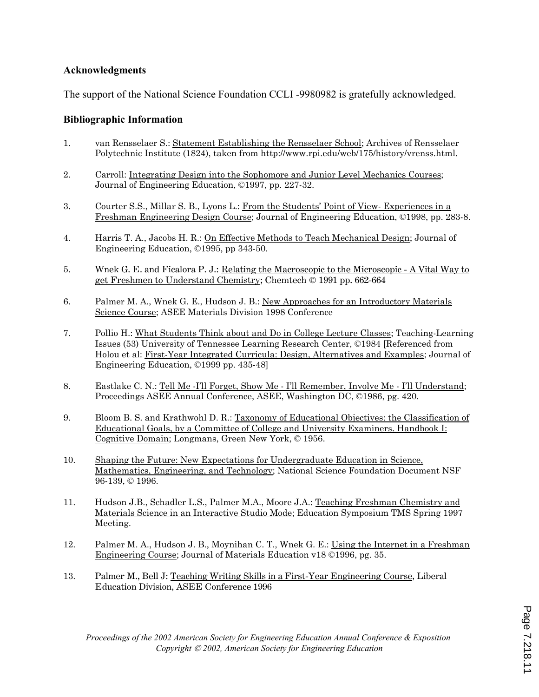#### **Acknowledgments**

The support of the National Science Foundation CCLI -9980982 is gratefully acknowledged.

#### **Bibliographic Information**

- 1. van Rensselaer S.: Statement Establishing the Rensselaer School; Archives of Rensselaer Polytechnic Institute (1824), taken from http://www.rpi.edu/web/175/history/vrenss.html.
- 2. Carroll: Integrating Design into the Sophomore and Junior Level Mechanics Courses; Journal of Engineering Education, ©1997, pp. 227-32.
- 3. Courter S.S., Millar S. B., Lyons L.: From the Students' Point of View- Experiences in a Freshman Engineering Design Course; Journal of Engineering Education, ©1998, pp. 283-8.
- 4. Harris T. A., Jacobs H. R.: On Effective Methods to Teach Mechanical Design; Journal of Engineering Education, ©1995, pp 343-50.
- 5. Wnek G. E. and Ficalora P. J.: Relating the Macroscopic to the Microscopic A Vital Way to get Freshmen to Understand Chemistry; Chemtech © 1991 pp. 662-664
- 6. Palmer M. A., Wnek G. E., Hudson J. B.: New Approaches for an Introductory Materials Science Course; ASEE Materials Division 1998 Conference
- 7. Pollio H.: What Students Think about and Do in College Lecture Classes; Teaching-Learning Issues (53) University of Tennessee Learning Research Center, ©1984 [Referenced from Holou et al: First-Year Integrated Curricula: Design, Alternatives and Examples; Journal of Engineering Education, ©1999 pp. 435-48]
- 8. Eastlake C. N.: Tell Me -I'll Forget, Show Me I'll Remember, Involve Me I'll Understand; Proceedings ASEE Annual Conference, ASEE, Washington DC, ©1986, pg. 420.
- 9. Bloom B. S. and Krathwohl D. R.: Taxonomy of Educational Objectives: the Classification of Educational Goals, by a Committee of College and University Examiners. Handbook I: Cognitive Domain; Longmans, Green New York, © 1956.
- 10. Shaping the Future: New Expectations for Undergraduate Education in Science, Mathematics, Engineering, and Technology; National Science Foundation Document NSF 96-139, © 1996.
- 11. Hudson J.B., Schadler L.S., Palmer M.A., Moore J.A.: Teaching Freshman Chemistry and Materials Science in an Interactive Studio Mode; Education Symposium TMS Spring 1997 Meeting.
- 12. Palmer M. A., Hudson J. B., Moynihan C. T., Wnek G. E.: Using the Internet in a Freshman Engineering Course; Journal of Materials Education v18 ©1996, pg. 35.
- 13. Palmer M., Bell J: Teaching Writing Skills in a First-Year Engineering Course, Liberal Education Division, ASEE Conference 1996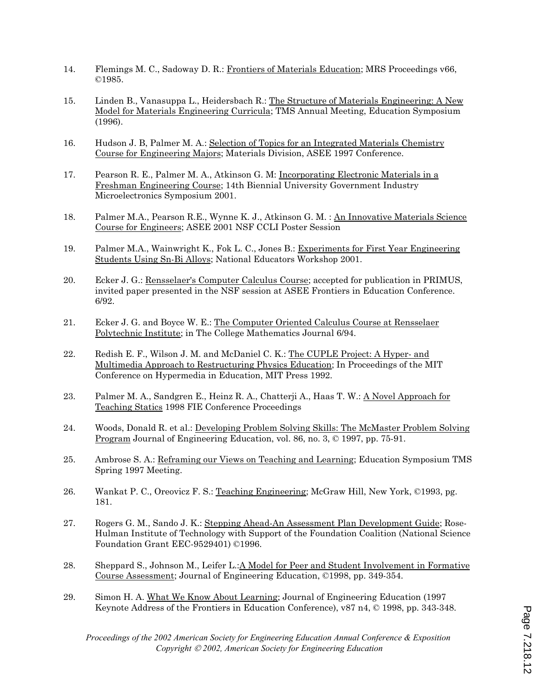- 14. Flemings M. C., Sadoway D. R.: Frontiers of Materials Education; MRS Proceedings v66, ©1985.
- 15. Linden B., Vanasuppa L., Heidersbach R.: The Structure of Materials Engineering: A New Model for Materials Engineering Curricula; TMS Annual Meeting, Education Symposium (1996).
- 16. Hudson J. B, Palmer M. A.: Selection of Topics for an Integrated Materials Chemistry Course for Engineering Majors; Materials Division, ASEE 1997 Conference.
- 17. Pearson R. E., Palmer M. A., Atkinson G. M: Incorporating Electronic Materials in a Freshman Engineering Course; 14th Biennial University Government Industry Microelectronics Symposium 2001.
- 18. Palmer M.A., Pearson R.E., Wynne K. J., Atkinson G. M. : An Innovative Materials Science Course for Engineers; ASEE 2001 NSF CCLI Poster Session
- 19. Palmer M.A., Wainwright K., Fok L. C., Jones B.: Experiments for First Year Engineering Students Using Sn-Bi Alloys; National Educators Workshop 2001.
- 20. Ecker J. G.: Rensselaer's Computer Calculus Course; accepted for publication in PRIMUS, invited paper presented in the NSF session at ASEE Frontiers in Education Conference. 6/92.
- 21. Ecker J. G. and Boyce W. E.: The Computer Oriented Calculus Course at Rensselaer Polytechnic Institute; in The College Mathematics Journal 6/94.
- 22. Redish E. F., Wilson J. M. and McDaniel C. K.: The CUPLE Project: A Hyper- and Multimedia Approach to Restructuring Physics Education; In Proceedings of the MIT Conference on Hypermedia in Education, MIT Press 1992.
- 23. Palmer M. A., Sandgren E., Heinz R. A., Chatterji A., Haas T. W.: A Novel Approach for Teaching Statics 1998 FIE Conference Proceedings
- 24. Woods, Donald R. et al.: Developing Problem Solving Skills: The McMaster Problem Solving Program Journal of Engineering Education, vol. 86, no. 3, © 1997, pp. 75-91.
- 25. Ambrose S. A.: Reframing our Views on Teaching and Learning; Education Symposium TMS Spring 1997 Meeting.
- 26. Wankat P. C., Oreovicz F. S.: Teaching Engineering; McGraw Hill, New York, ©1993, pg. 181.
- 27. Rogers G. M., Sando J. K.: Stepping Ahead-An Assessment Plan Development Guide; Rose-Hulman Institute of Technology with Support of the Foundation Coalition (National Science Foundation Grant EEC-9529401) ©1996.
- 28. Sheppard S., Johnson M., Leifer L.: A Model for Peer and Student Involvement in Formative Course Assessment; Journal of Engineering Education, ©1998, pp. 349-354.
- 29. Simon H. A. What We Know About Learning; Journal of Engineering Education (1997 Keynote Address of the Frontiers in Education Conference), v87 n4, © 1998, pp. 343-348.